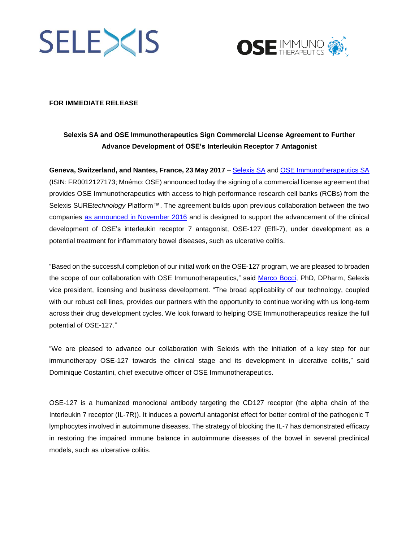



### **FOR IMMEDIATE RELEASE**

# **Selexis SA and OSE Immunotherapeutics Sign Commercial License Agreement to Further Advance Development of OSE's Interleukin Receptor 7 Antagonist**

**Geneva, Switzerland, and Nantes, France, 23 May 2017** – [Selexis SA](http://www.selexis.com/) and [OSE Immunotherapeutics SA](http://ose-immuno.com/en/) (ISIN: FR0012127173; Mnémo: OSE) announced today the signing of a commercial license agreement that provides OSE Immunotherapeutics with access to high performance research cell banks (RCBs) from the Selexis SURE*technology* Platform™. The agreement builds upon previous collaboration between the two companies [as announced in November 2016](http://www.selexis.com/selexis-sa-ose-immunotherapeutics-collaborate-advance-development-immunotherapies-cancer-autoimmune-diseases/) and is designed to support the advancement of the clinical development of OSE's interleukin receptor 7 antagonist, OSE-127 (Effi-7), under development as a potential treatment for inflammatory bowel diseases, such as ulcerative colitis.

"Based on the successful completion of our initial work on the OSE-127 program, we are pleased to broaden the scope of our collaboration with OSE Immunotherapeutics," said [Marco Bocci,](http://www.selexis.com/leadership/marco-bocci-phd-dpharm/) PhD, DPharm, Selexis vice president, licensing and business development. "The broad applicability of our technology, coupled with our robust cell lines, provides our partners with the opportunity to continue working with us long-term across their drug development cycles. We look forward to helping OSE Immunotherapeutics realize the full potential of OSE-127."

"We are pleased to advance our collaboration with Selexis with the initiation of a key step for our immunotherapy OSE-127 towards the clinical stage and its development in ulcerative colitis," said Dominique Costantini, chief executive officer of OSE Immunotherapeutics.

OSE-127 is a humanized monoclonal antibody targeting the CD127 receptor (the alpha chain of the Interleukin 7 receptor (IL-7R)). It induces a powerful antagonist effect for better control of the pathogenic T lymphocytes involved in autoimmune diseases. The strategy of blocking the IL-7 has demonstrated efficacy in restoring the impaired immune balance in autoimmune diseases of the bowel in several preclinical models, such as ulcerative colitis.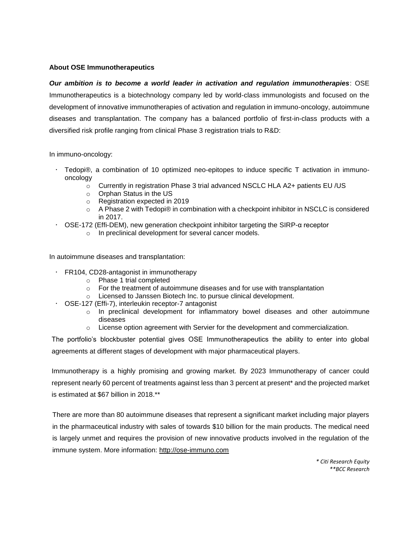### **About OSE Immunotherapeutics**

*Our ambition is to become a world leader in activation and regulation immunotherapies*: OSE Immunotherapeutics is a biotechnology company led by world-class immunologists and focused on the development of innovative immunotherapies of activation and regulation in immuno-oncology, autoimmune diseases and transplantation. The company has a balanced portfolio of first-in-class products with a diversified risk profile ranging from clinical Phase 3 registration trials to R&D:

In immuno-oncology:

- Tedopi®, a combination of 10 optimized neo-epitopes to induce specific T activation in immunooncology
	- o Currently in registration Phase 3 trial advanced NSCLC HLA A2+ patients EU /US
	- o Orphan Status in the US
	- o Registration expected in 2019
	- o A Phase 2 with Tedopi® in combination with a checkpoint inhibitor in NSCLC is considered in 2017.
- OSE-172 (Effi-DEM), new generation checkpoint inhibitor targeting the SIRP-α receptor
	- o In preclinical development for several cancer models.

In autoimmune diseases and transplantation:

- FR104, CD28-antagonist in immunotherapy
	- o Phase 1 trial completed
	- o For the treatment of autoimmune diseases and for use with transplantation
	- o Licensed to Janssen Biotech Inc. to pursue clinical development.
- OSE-127 (Effi-7), interleukin receptor-7 antagonist
	- o In preclinical development for inflammatory bowel diseases and other autoimmune diseases
	- $\circ$  License option agreement with Servier for the development and commercialization.

The portfolio's blockbuster potential gives OSE Immunotherapeutics the ability to enter into global agreements at different stages of development with major pharmaceutical players.

Immunotherapy is a highly promising and growing market. By 2023 Immunotherapy of cancer could represent nearly 60 percent of treatments against less than 3 percent at present\* and the projected market is estimated at \$67 billion in 2018.\*\*

There are more than 80 autoimmune diseases that represent a significant market including major players in the pharmaceutical industry with sales of towards \$10 billion for the main products. The medical need is largely unmet and requires the provision of new innovative products involved in the regulation of the immune system. More information: [http://ose-immuno.com](http://ose-immuno.com/)

> *\* Citi Research Equity \*\*BCC Research*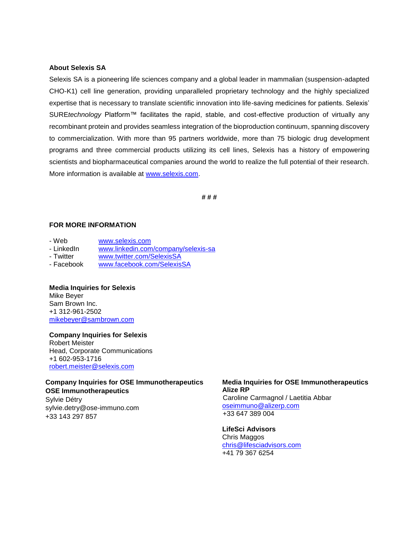### **About Selexis SA**

Selexis SA is a pioneering life sciences company and a global leader in mammalian (suspension-adapted CHO-K1) cell line generation, providing unparalleled proprietary technology and the highly specialized expertise that is necessary to translate scientific innovation into life-saving medicines for patients. Selexis' SURE*technology* Platform™ facilitates the rapid, stable, and cost-effective production of virtually any recombinant protein and provides seamless integration of the bioproduction continuum, spanning discovery to commercialization. With more than 95 partners worldwide, more than 75 biologic drug development programs and three commercial products utilizing its cell lines, Selexis has a history of empowering scientists and biopharmaceutical companies around the world to realize the full potential of their research. More information is available at [www.selexis.com.](http://www.selexis.com/)

**# # #**

### **FOR MORE INFORMATION**

- Web [www.selexis.com](http://www.selexis.com/)
- LinkedIn [www.linkedin.com/company/selexis-sa](http://www.linkedin.com/company/selexis-sa)
- 
- Twitter [www.twitter.com/SelexisSA](http://www.twitter.com/SelexisSA)
- Facebook [www.facebook.com/SelexisSA](http://www.facebook.com/SelexisSA)

**Media Inquiries for Selexis** Mike Beyer Sam Brown Inc. +1 312-961-2502 [mikebeyer@sambrown.com](mailto:mikebeyer@sambrown.com)

#### **Company Inquiries for Selexis**

Robert Meister Head, Corporate Communications +1 602-953-1716 [robert.meister@selexis.com](mailto:robert.meister@selexis.com)

### **Company Inquiries for OSE Immunotherapeutics OSE Immunotherapeutics**

Sylvie Détry [sylvie.detry@ose-immuno.com](mailto:sylvie.detry@ose-immuno.com) +33 143 297 857

# **Media Inquiries for OSE Immunotherapeutics Alize RP**

Caroline Carmagnol / Laetitia Abbar [oseimmuno@alizerp.com](mailto:oseimmuno@alizerp.com) +33 647 389 004

# **LifeSci Advisors**

Chris Maggos [chris@lifesciadvisors.com](file:///C:/Users/Sylvie%20Détry/AppData/Local/Microsoft/Windows/INetCache/Content.Outlook/JJHRRO4Q/chris@lifesciadvisors.com) +41 79 367 6254